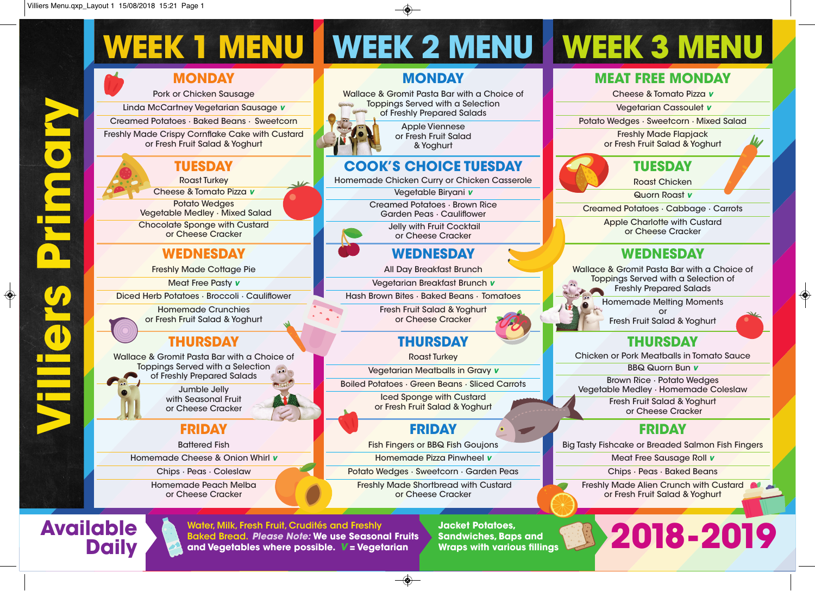

#### **FRIDAY**

Battered Fish Homemade Cheese & Onion Whirl *v* Chips · Peas · Coleslaw Homemade Peach Melba or Cheese Cracker

**Daily**

#### **MONDAY**

Wallace & Gromit Pasta Bar with a Choice of Toppings Served with a Selection

> Apple Viennese or Fresh Fruit Salad & Yoghurt

### **COOK'S CHOICE TUESDAY**

Homemade Chicken Curry or Chicken Casserole

Vegetable Biryani *v*

Garden Peas · Cauliflower

Jelly with Fruit Cocktail or Cheese Cracker

### **WEDNESDAY**

All Day Breakfast Brunch

Vegetarian Breakfast Brunch *v*

Hash Brown Bites · Baked Beans · Tomatoes

Fresh Fruit Salad & Yoghurt or Cheese Cracker

## **THURSDAY**

Roast Turkey

Vegetarian Meatballs in Gravy *v*

Iced Sponge with Custard or Fresh Fruit Salad & Yoghurt

### **FRIDAY**

Fish Fingers or BBQ Fish Goujons

Homemade Pizza Pinwheel *v*

Potato Wedges · Sweetcorn · Garden Peas

Freshly Made Shortbread with Custard or Cheese Cracker

**2018-2019 Water, Milk, Fresh Fruit, Crudités and Freshly Baked Bread.** *Please Note:* **We use Seasonal Fruits and Vegetables where possible.** *v* **= Vegetarian**

**Jacket Potatoes, Sandwiches,Baps and Wraps with various fillings**

### **MEAT FREE MONDAY**

Cheese & Tomato Pizza *v*

Vegetarian Cassoulet *v*

Potato Wedges · Sweetcorn · Mixed Salad

Freshly Made Flapjack or Fresh Fruit Salad & Yoghurt



Roast Chicken

Quorn Roast *v*

Creamed Potatoes · Cabbage · Carrots

Apple Charlotte with Custard or Cheese Cracker

### **WEDNESDAY**

Wallace & Gromit Pasta Bar with a Choice of Toppings Served with a Selection of Freshly Prepared Salads

> Homemade Melting Moments or

♦

Fresh Fruit Salad & Yoghurt

# **THURSDAY**

Chicken or Pork Meatballs in Tomato Sauce

BBQ Quorn Bun *v* Brown Rice · Potato Wedges Vegetable Medley · Homemade Coleslaw Fresh Fruit Salad & Yoghurt

or Cheese Cracker

## **FRIDAY**

Big Tasty Fishcake or Breaded Salmon Fish Fingers

Meat Free Sausage Roll *v*

Chips · Peas · Baked Beans

Freshly Made Alien Crunch with Custard or Fresh Fruit Salad & Yoghurt